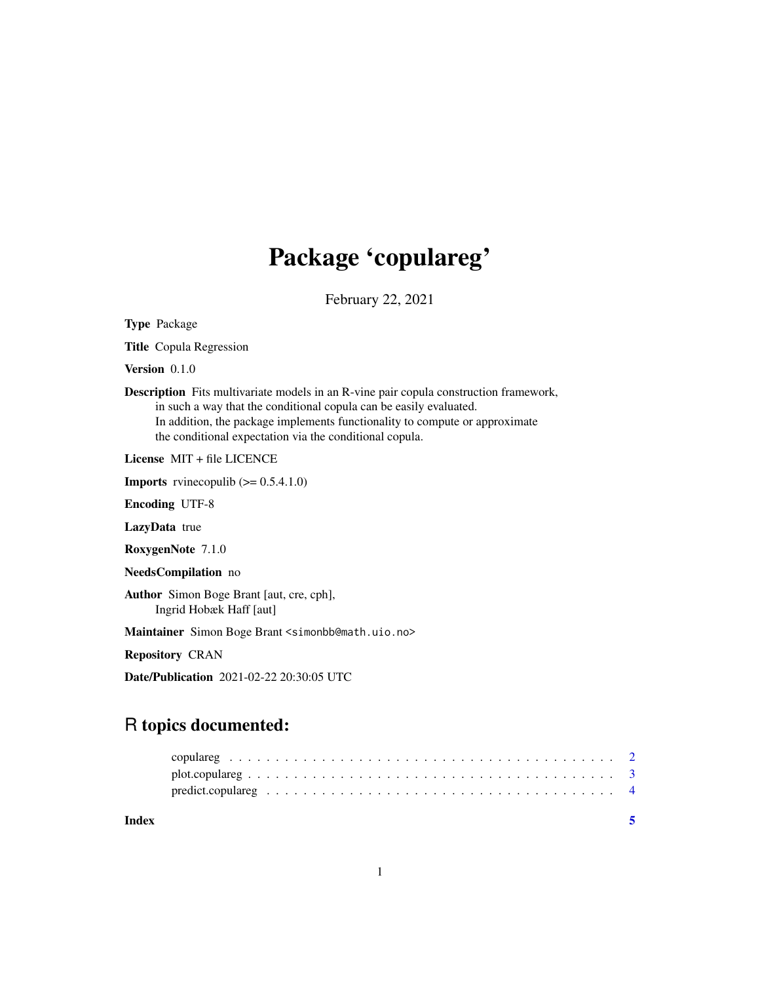## Package 'copulareg'

February 22, 2021

<span id="page-0-0"></span>Type Package

Title Copula Regression

Version 0.1.0

Description Fits multivariate models in an R-vine pair copula construction framework, in such a way that the conditional copula can be easily evaluated. In addition, the package implements functionality to compute or approximate the conditional expectation via the conditional copula.

License MIT + file LICENCE

**Imports** rvinecopulib  $(>= 0.5.4.1.0)$ 

Encoding UTF-8

LazyData true

RoxygenNote 7.1.0

```
NeedsCompilation no
```
Author Simon Boge Brant [aut, cre, cph], Ingrid Hobæk Haff [aut]

Maintainer Simon Boge Brant <simonbb@math.uio.no>

Repository CRAN

Date/Publication 2021-02-22 20:30:05 UTC

### R topics documented:

| Index |  |
|-------|--|
|       |  |
|       |  |
|       |  |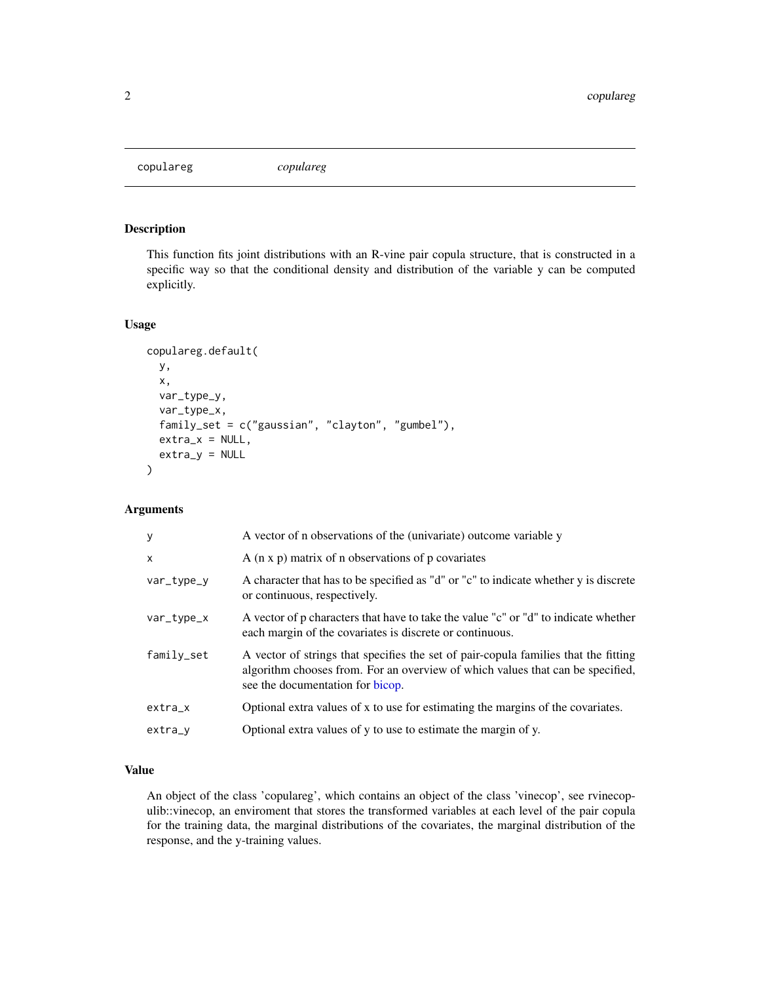<span id="page-1-0"></span>copulareg *copulareg*

#### Description

This function fits joint distributions with an R-vine pair copula structure, that is constructed in a specific way so that the conditional density and distribution of the variable y can be computed explicitly.

#### Usage

```
copulareg.default(
 y,
  x,
  var_type_y,
  var_type_x,
  family_set = c("gaussian", "clayton", "gumbel"),
  extra_x = NULL,extra_y = NULL)
```
#### Arguments

| $\mathbf{y}$ | A vector of n observations of the (univariate) outcome variable y                                                                                                                                         |
|--------------|-----------------------------------------------------------------------------------------------------------------------------------------------------------------------------------------------------------|
| $\times$     | $A$ (n x p) matrix of n observations of p covariates                                                                                                                                                      |
| var_type_y   | A character that has to be specified as "d" or "c" to indicate whether y is discrete<br>or continuous, respectively.                                                                                      |
| var_type_x   | A vector of p characters that have to take the value "c" or "d" to indicate whether<br>each margin of the covariates is discrete or continuous.                                                           |
| family_set   | A vector of strings that specifies the set of pair-copula families that the fitting<br>algorithm chooses from. For an overview of which values that can be specified,<br>see the documentation for bicop. |
| $extra_x$    | Optional extra values of x to use for estimating the margins of the covariates.                                                                                                                           |
| extra_v      | Optional extra values of y to use to estimate the margin of y.                                                                                                                                            |

#### Value

An object of the class 'copulareg', which contains an object of the class 'vinecop', see rvinecopulib::vinecop, an enviroment that stores the transformed variables at each level of the pair copula for the training data, the marginal distributions of the covariates, the marginal distribution of the response, and the y-training values.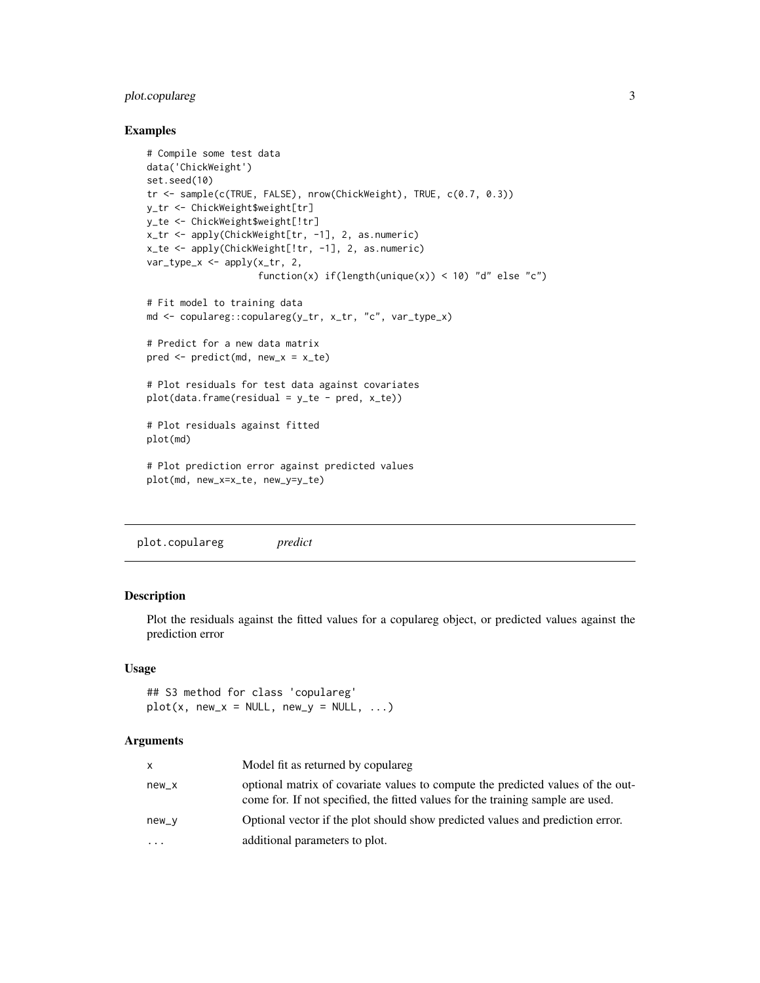#### <span id="page-2-0"></span>plot.copulareg 3

#### Examples

```
# Compile some test data
data('ChickWeight')
set.seed(10)
tr <- sample(c(TRUE, FALSE), nrow(ChickWeight), TRUE, c(0.7, 0.3))
y_tr <- ChickWeight$weight[tr]
y_te <- ChickWeight$weight[!tr]
x_tr <- apply(ChickWeight[tr, -1], 2, as.numeric)
x_te <- apply(ChickWeight[!tr, -1], 2, as.numeric)
var_type_x <- apply(x_tr, 2,
                    function(x) if(length(unique(x)) < 10) "d" else "c")
# Fit model to training data
md <- copulareg::copulareg(y_tr, x_tr, "c", var_type_x)
# Predict for a new data matrix
pred \leq predict(md, new_x = x_te)
# Plot residuals for test data against covariates
plot(data.frame(residual = y_te - pred, x_te))# Plot residuals against fitted
plot(md)
# Plot prediction error against predicted values
plot(md, new_x=x_te, new_y=y_te)
```
plot.copulareg *predict*

#### Description

Plot the residuals against the fitted values for a copulareg object, or predicted values against the prediction error

#### Usage

## S3 method for class 'copulareg'  $plot(x, new_x = NULL, new_y = NULL, ...)$ 

#### Arguments

| x         | Model fit as returned by copulareg                                                                                                                                 |
|-----------|--------------------------------------------------------------------------------------------------------------------------------------------------------------------|
| $new_x$   | optional matrix of covariate values to compute the predicted values of the out-<br>come for. If not specified, the fitted values for the training sample are used. |
| $new_v$   | Optional vector if the plot should show predicted values and prediction error.                                                                                     |
| $\ddotsc$ | additional parameters to plot.                                                                                                                                     |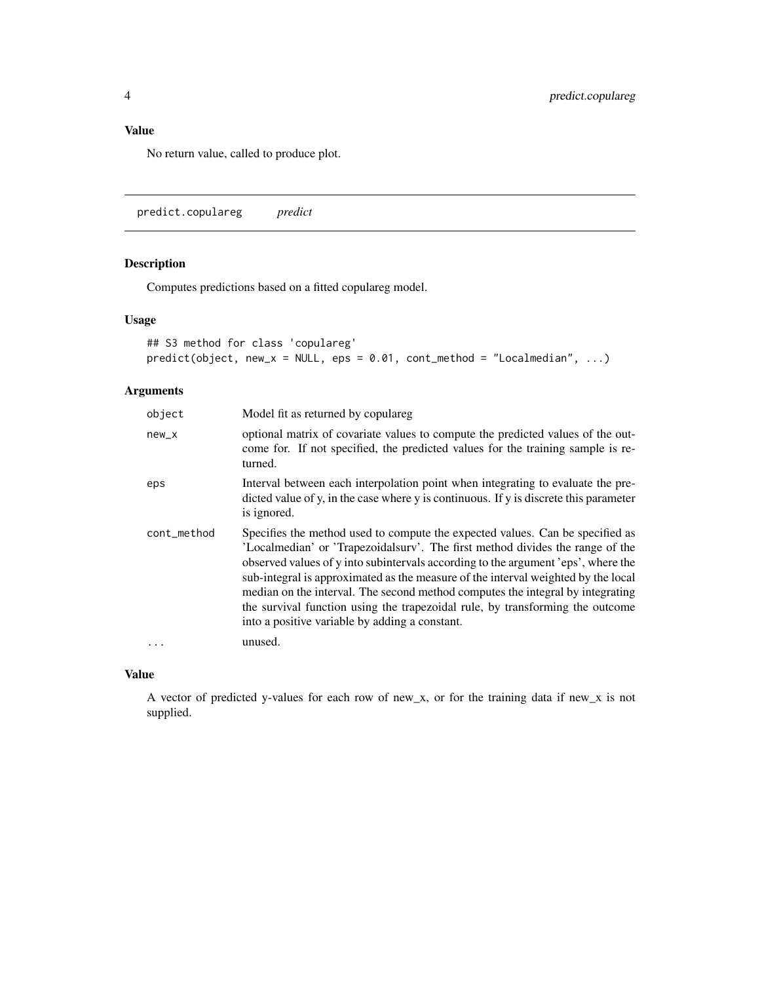#### <span id="page-3-0"></span>Value

No return value, called to produce plot.

predict.copulareg *predict*

#### Description

Computes predictions based on a fitted copulareg model.

#### Usage

```
## S3 method for class 'copulareg'
predict(object, new_x = NULL, eps = 0.01, cont_method = "Localmedian", ...)
```
#### Arguments

| object      | Model fit as returned by copulareg                                                                                                                                                                                                                                                                                                                                                                                                                                                                                                                            |
|-------------|---------------------------------------------------------------------------------------------------------------------------------------------------------------------------------------------------------------------------------------------------------------------------------------------------------------------------------------------------------------------------------------------------------------------------------------------------------------------------------------------------------------------------------------------------------------|
| $new_x$     | optional matrix of covariate values to compute the predicted values of the out-<br>come for. If not specified, the predicted values for the training sample is re-<br>turned.                                                                                                                                                                                                                                                                                                                                                                                 |
| eps         | Interval between each interpolation point when integrating to evaluate the pre-<br>dicted value of y, in the case where y is continuous. If y is discrete this parameter<br>is ignored.                                                                                                                                                                                                                                                                                                                                                                       |
| cont_method | Specifies the method used to compute the expected values. Can be specified as<br>'Localmedian' or 'Trapezoidalsury'. The first method divides the range of the<br>observed values of y into subintervals according to the argument 'eps', where the<br>sub-integral is approximated as the measure of the interval weighted by the local<br>median on the interval. The second method computes the integral by integrating<br>the survival function using the trapezoidal rule, by transforming the outcome<br>into a positive variable by adding a constant. |
|             | unused.                                                                                                                                                                                                                                                                                                                                                                                                                                                                                                                                                       |

#### Value

A vector of predicted y-values for each row of new\_x, or for the training data if new\_x is not supplied.